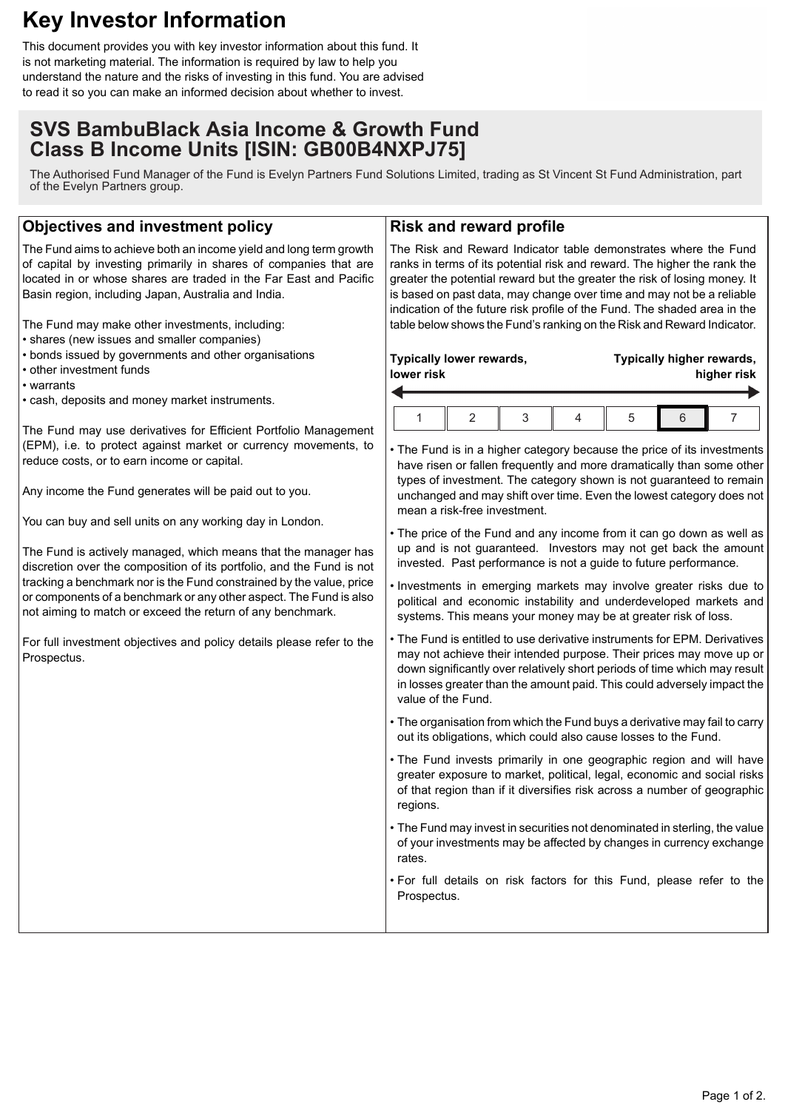# **Key Investor Information**

This document provides you with key investor information about this fund. It is not marketing material. The information is required by law to help you understand the nature and the risks of investing in this fund. You are advised to read it so you can make an informed decision about whether to invest.

# **SVS BambuBlack Asia Income & Growth Fund Class B Income Units [ISIN: GB00B4NXPJ75]**

The Authorised Fund Manager of the Fund is Evelyn Partners Fund Solutions Limited, trading as St Vincent St Fund Administration, part of the Evelyn Partners group.

### **Objectives and investment policy**

The Fund aims to achieve both an income yield and long term growth of capital by investing primarily in shares of companies that are located in or whose shares are traded in the Far East and Pacific Basin region, including Japan, Australia and India.

The Fund may make other investments, including:

- shares (new issues and smaller companies)
- bonds issued by governments and other organisations
- other investment funds
- warrants
- cash, deposits and money market instruments.

The Fund may use derivatives for Efficient Portfolio Management (EPM), i.e. to protect against market or currency movements, to reduce costs, or to earn income or capital.

Any income the Fund generates will be paid out to you.

You can buy and sell units on any working day in London.

The Fund is actively managed, which means that the manager has discretion over the composition of its portfolio, and the Fund is not tracking a benchmark nor is the Fund constrained by the value, price or components of a benchmark or any other aspect. The Fund is also not aiming to match or exceed the return of any benchmark.

For full investment objectives and policy details please refer to the Prospectus.

#### **Risk and reward profile**

The Risk and Reward Indicator table demonstrates where the Fund ranks in terms of its potential risk and reward. The higher the rank the greater the potential reward but the greater the risk of losing money. It is based on past data, may change over time and may not be a reliable indication of the future risk profile of the Fund. The shaded area in the table below shows the Fund's ranking on the Risk and Reward Indicator.

| Typically lower rewards, |  |  |  | Typically higher rewards, |  |  |
|--------------------------|--|--|--|---------------------------|--|--|
| lower risk               |  |  |  | higher risk               |  |  |
|                          |  |  |  |                           |  |  |

• The Fund is in a higher category because the price of its investments have risen or fallen frequently and more dramatically than some other types of investment. The category shown is not guaranteed to remain unchanged and may shift over time. Even the lowest category does not mean a risk-free investment.

- The price of the Fund and any income from it can go down as well as up and is not guaranteed. Investors may not get back the amount invested. Past performance is not a guide to future performance.
- Investments in emerging markets may involve greater risks due to political and economic instability and underdeveloped markets and systems. This means your money may be at greater risk of loss.
- The Fund is entitled to use derivative instruments for EPM. Derivatives may not achieve their intended purpose. Their prices may move up or down significantly over relatively short periods of time which may result in losses greater than the amount paid. This could adversely impact the value of the Fund.
- The organisation from which the Fund buys a derivative may fail to carry out its obligations, which could also cause losses to the Fund.
- The Fund invests primarily in one geographic region and will have greater exposure to market, political, legal, economic and social risks of that region than if it diversifies risk across a number of geographic regions.
- The Fund may invest in securities not denominated in sterling, the value of your investments may be affected by changes in currency exchange rates.
- For full details on risk factors for this Fund, please refer to the Prospectus.